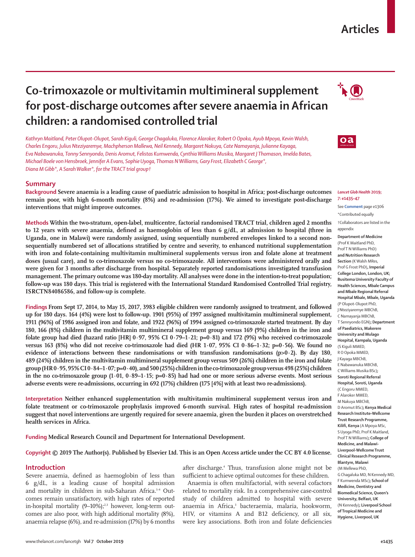# **Articles**

# **Co-trimoxazole or multivitamin multimineral supplement for post-discharge outcomes after severe anaemia in African children: a randomised controlled trial**

*Kathryn Maitland, Peter Olupot-Olupot, Sarah Kiguli, George Chagaluka, Florence Alaroker, Robert O Opoka, Ayub Mpoya, Kevin Walsh, Charles Engoru, Julius Nteziyaremye, Machpherson Mallewa, Neil Kennedy, Margaret Nakuya, Cate Namayanja, Julianne Kayaga, Eva Nabawanuka, Tonny Sennyondo, Denis Aromut, Felistas Kumwenda, Cynthia Williams Musika, Margaret J Thomason, Imelda Bates, Michael Boele von Hensbroek, Jennifer A Evans, Sophie Uyoga, Thomas N Williams, Gary Frost, Elizabeth C George\*, Diana M Gibb\*, A Sarah Walker\*, for the TRACT trial group†*

## **Summary**

**Background Severe anaemia is a leading cause of paediatric admission to hospital in Africa; post-discharge outcomes remain poor, with high 6-month mortality (8%) and re-admission (17%). We aimed to investigate post-discharge interventions that might improve outcomes.**

**Methods Within the two-stratum, open-label, multicentre, factorial randomised TRACT trial, children aged 2 months to 12 years with severe anaemia, defined as haemoglobin of less than 6 g/dL, at admission to hospital (three in Uganda, one in Malawi) were randomly assigned, using sequentially numbered envelopes linked to a second nonsequentially numbered set of allocations stratified by centre and severity, to enhanced nutritional supplementation**  with iron and folate-containing multivitamin multimineral supplements versus iron and folate alone at treatment **doses (usual care), and to co-trimoxazole versus no co-trimoxazole. All interventions were administered orally and were given for 3 months after discharge from hospital. Separately reported randomisations investigated transfusion management. The primary outcome was 180-day mortality. All analyses were done in the intention-to-treat population; follow-up was 180 days. This trial is registered with the International Standard Randomised Controlled Trial registry, ISRCTN84086586, and follow-up is complete.**

**Findings From Sept 17, 2014, to May 15, 2017, 3983 eligible children were randomly assigned to treatment, and followed up for 180 days. 164 (4%) were lost to follow-up. 1901 (95%) of 1997 assigned multivitamin multimineral supplement, 1911 (96%) of 1986 assigned iron and folate, and 1922 (96%) of 1994 assigned co-trimoxazole started treatment. By day 180, 166 (8%) children in the multivitamin multimineral supplement group versus 169 (9%) children in the iron and folate group had died (hazard ratio [HR] 0·97, 95% CI 0·79–1·21; p=0·81) and 172 (9%) who received co-trimoxazole versus 163 (8%) who did not receive co-trimoxazole had died (HR 1·07, 95% CI 0·86–1·32; p=0·56). We found no evidence of interactions between these randomisations or with transfusion randomisations (p>0·2). By day 180, 489 (24%) children in the multivitamin multimineral supplement group versus 509 (26%) children in the iron and folate group (HR 0·95, 95% CI 0·84–1·07; p=0·40), and 500 (25%) children in the co-trimoxazole group versus 498 (25%) children**  in the no co-trimoxazole group  $(1\cdot01, 0\cdot89-1\cdot15; p=0\cdot85)$  had had one or more serious adverse events. Most serious **adverse events were re-admissions, occurring in 692 (17%) children (175 [4%] with at least two re-admissions).** 

**Interpretation Neither enhanced supplementation with multivitamin multimineral supplement versus iron and folate treatment or co-trimoxazole prophylaxis improved 6-month survival. High rates of hospital re-admission suggest that novel interventions are urgently required for severe anaemia, given the burden it places on overstretched health services in Africa.** 

**Funding Medical Research Council and Department for International Development.**

## **Copyright © 2019 The Author(s). Published by Elsevier Ltd. This is an Open Access article under the CC BY 4.0 license.**

#### **Introduction**

Severe anaemia, defined as haemoglobin of less than 6 g/dL, is a leading cause of hospital admission and mortality in children in sub-Saharan Africa.<sup>1-4</sup> Outcomes remain unsatisfactory, with high rates of reported in-hospital mortality  $(9-10\%)$ ;<sup>2,3</sup> however, long-term outcomes are also poor, with high additional mortality (8%), anaemia relapse (6%), and re-admission (17%) by 6 months

after discharge.<sup>4</sup> Thus, transfusion alone might not be sufficient to achieve optimal outcomes for these children.

Anaemia is often multifactorial, with several cofactors related to mortality risk. In a comprehensive case-control study of children admitted to hospital with severe anaemia in Africa,<sup>3</sup> bacteraemia, malaria, hookworm, HIV, or vitamins A and B12 deficiency, or all six, were key associations. Both iron and folate deficiencies





#### *Lancet Glob Health* **2019; 7: e1435–47**

See **Comment** page e1306 \*Contributed equally †Collaborators are listed in the appendix

**Department of Medicine** (Prof K Maitland PhD, Prof T N Williams PhD) **and Nutrition Research Section** (K Walsh MRes, Prof G Frost PhD)**, Imperial College London, London, UK; Busitema University Faculty of Health Sciences, Mbale Campus and Mbale Regional Referral Hospital Mbale, Mbale, Uganda** (P Olupot-Olupot PhD, J Nteziyaremye MBChB, C Namayanja MBChB, T Sennyondo EGN)**; Department of Paediatrics, Makerere University and Mulago Hospital, Kampala, Uganda**  (S Kiguli MMED, R O Opoka MMED, J Kayaga MBChB, E Nabawanuka MBChB, C Williams Musika BSc)**; Soroti Regional Referral Hospital, Soroti, Uganda**  (C Engoru MMED, F Alaroker MMED, M Nakuya MBChB, D Aromut BSc)**; Kenya Medical Research Institute–Wellcome Trust Research Programme, Kilifi, Kenya** (A Mpoya MSc, S Uyoga PhD, Prof K Maitland, Prof T N Williams)**; College of Medicine, and Malawi-Liverpool-Wellcome Trust Clinical Research Programme, Blantyre, Malawi**  (M Mellewa PhD, G Chagaluka MD, N Kennedy MD, F Kumwenda MSc)**; School of Medicine, Dentistry and Biomedical Science, Queen's University, Belfast, UK** (N Kennedy)**; Liverpool School of Tropical Medicine and Hygiene, Liverpool, UK**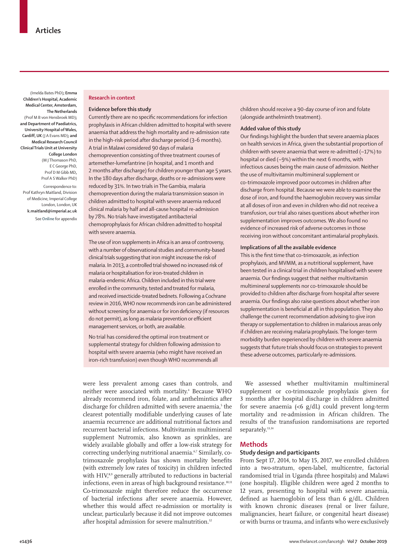(Imelda Bates PhD)**; Emma Children's Hospital, Academic Medical Center, Amsterdam, The Netherlands**  (Prof M B von Hensbroek MD)**; and Department of Paediatrics, University Hospital of Wales, Cardiff, UK** (J A Evans MD)**; and Medical Research Council Clinical Trials Unit at University College London** 

> (M J Thomason PhD, E C George PhD, Prof D M Gibb MD**,**  Prof A S Walker PhD)

Correspondence to: Prof Kathryn Maitland, Division of Medicine, Imperial College London, London, UK **k.maitland@imperial.ac.uk** 

See **Online** for appendix

# **Research in context**

### **Evidence before this study**

Currently there are no specific recommendations for infection prophylaxis in African children admitted to hospital with severe anaemia that address the high mortality and re-admission rate in the high-risk period after discharge period (3–6 months). A trial in Malawi considered 90 days of malaria chemoprevention consisting of three treatment courses of artemether-lumefantrine (in hospital, and 1 month and 2 months after discharge) for children younger than age 5 years. In the 180 days after discharge, deaths or re-admissions were reduced by 31%. In two trials in The Gambia, malaria chemoprevention during the malaria transmission season in children admitted to hospital with severe anaemia reduced clinical malaria by half and all-cause hospital re-admission by 78%. No trials have investigated antibacterial

chemoprophylaxis for African children admitted to hospital with severe anaemia.

The use of iron supplements in Africa is an area of controversy, with a number of observational studies and community-based clinical trials suggesting that iron might increase the risk of malaria. In 2013, a controlled trial showed no increased risk of malaria or hospitalisation for iron-treated children in malaria-endemic Africa. Children included in this trial were enrolled in the community, tested and treated for malaria, and received insecticide-treated bednets. Following a Cochrane review in 2016, WHO now recommends iron can be administered without screening for anaemia or for iron deficiency (if resources do not permit), as long as malaria prevention or efficient management services, or both, are available.

No trial has considered the optimal iron treatment or supplemental strategy for children following admission to hospital with severe anaemia (who might have received an iron-rich transfusion) even though WHO recommends all

children should receive a 90-day course of iron and folate (alongside anthelminth treatment).

#### **Added value of this study**

Our findings highlight the burden that severe anaemia places on health services in Africa, given the substantial proportion of children with severe anaemia that were re-admitted (~17%) to hospital or died (~9%) within the next 6 months, with infectious causes being the main cause of admission. Neither the use of multivitamin multimineral supplement or co-trimoxazole improved poor outcomes in children after discharge from hospital. Because we were able to examine the dose of iron, and found the haemoglobin recovery was similar at all doses of iron and even in children who did not receive a transfusion, our trial also raises questions about whether iron supplementation improves outcomes. We also found no evidence of increased risk of adverse outcomes in those receiving iron without concomitant antimalarial prophylaxis.

#### **Implications of all the available evidence**

This is the first time that co-trimoxazole, as infection prophylaxis, and MVMM, as a nutritional supplement, have been tested in a clinical trial in children hospitalised with severe anaemia. Our findings suggest that neither multivitamin multimineral supplements nor co-trimoxazole should be provided to children after discharge from hospital after severe anaemia. Our findings also raise questions about whether iron supplementation is beneficial at all in this population. They also challenge the current recommendation advising to give iron therapy or supplementation to children in malarious areas only if children are receiving malaria prophylaxis. The longer-term morbidity burden experienced by children with severe anaemia suggests that future trials should focus on strategies to prevent these adverse outcomes, particularly re-admissions.

were less prevalent among cases than controls, and neither were associated with mortality.4 Because WHO already recommend iron, folate, and anthelmintics after discharge for children admitted with severe anaemia,<sup>5</sup> the clearest potentially modifiable underlying causes of late anaemia recurrence are additional nutritional factors and recurrent bacterial infections. Multivitamin multimineral supplement Nutromix, also known as sprinkles, are widely available globally and offer a low-risk strategy for correcting underlying nutritional anaemia.<sup>6,7</sup> Similarly, cotrimoxazole prophylaxis has shown mortality benefits (with extremely low rates of toxicity) in children infected with HIV,<sup>8,9</sup> generally attributed to reductions in bacterial infections, even in areas of high background resistance.<sup>10,11</sup> Co-trimoxazole might therefore reduce the occurrence of bacterial infections after severe anaemia. However, whether this would affect re-admission or mortality is unclear, particularly because it did not improve outcomes after hospital admission for severe malnutrition.<sup>12</sup>

We assessed whether multivitamin multimineral supplement or co-trimoxazole prophylaxis given for 3 months after hospital discharge in children admitted for severe anaemia  $\langle \langle 6 \rangle$  g/dL) could prevent long-term mortality and re-admission in African children. The results of the transfusion randomisations are reported separately.<sup>13,14</sup>

# **Methods**

## **Study design and participants**

From Sept 17, 2014, to May 15, 2017, we enrolled children into a two-stratum, open-label, multicentre, factorial randomised trial in Uganda (three hospitals) and Malawi (one hospital). Eligible children were aged 2 months to 12 years, presenting to hospital with severe anaemia, defined as haemoglobin of less than 6 g/dL. Children with known chronic diseases (renal or liver failure, malignancies, heart failure, or congenital heart disease) or with burns or trauma, and infants who were exclusively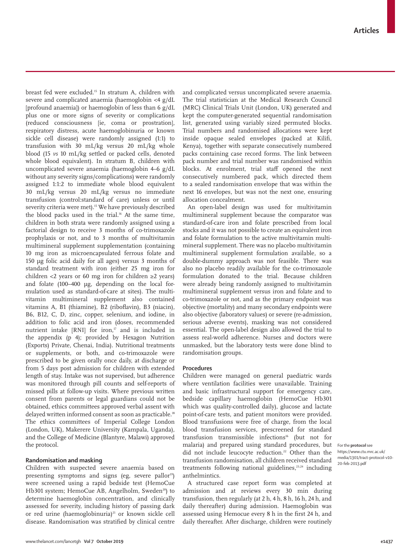breast fed were excluded.15 In stratum A, children with severe and complicated anaemia (haemoglobin <4 g/dL [profound anaemia]) or haemoglobin of less than 6 g/dL plus one or more signs of severity or complications (reduced consciousness [ie, coma or prostration], respiratory distress, acute haemoglobinuria or known sickle cell disease) were randomly assigned (1:1) to transfusion with 30 mL/kg versus 20 mL/kg whole blood (15 *vs* 10 mL/kg settled or packed cells, denoted whole blood equivalent). In stratum B, children with uncomplicated severe anaemia (haemoglobin 4–6 g/dL without any severity signs/complications) were randomly assigned 1:1:2 to immediate whole blood equivalent 30 mL/kg versus 20 mL/kg versus no immediate transfusion (control:standard of care) unless or until severity criteria were met).<sup>15</sup> We have previously described the blood packs used in the trial.<sup>16</sup> At the same time, children in both strata were randomly assigned using a factorial design to receive 3 months of co-trimoxazole prophylaxis or not, and to 3 months of multivitamin multimineral supplement supplementation (containing 10 mg iron as microencapsulated ferrous folate and 150 µg folic acid daily for all ages) versus 3 months of standard treatment with iron (either 25 mg iron for children <2 years or 60 mg iron for children  $\geq$ 2 years) and folate (100–400 µg, depending on the local formulation used as standard-of-care at sites). The multivitamin multimineral supplement also contained vitamins A, B1 (thiamine), B2 (riboflavin), B3 (niacin), B6, B12, C, D, zinc, copper, selenium, and iodine, in addition to folic acid and iron (doses, recommended nutrient intake [RNI] for iron, $17$  and is included in the appendix (p 4); provided by Hexagon Nutrition (Exports) Private, Chenai, India). Nutritional treatments or supplements, or both, and co-trimoxazole were prescribed to be given orally once daily, at discharge or from 5 days post admission for children with extended length of stay. Intake was not supervised, but adherence was monitored through pill counts and self-reports of missed pills at follow-up visits. Where previous written consent from parents or legal guardians could not be obtained, ethics committees approved verbal assent with delayed written informed consent as soon as practicable.<sup>18</sup> The ethics committees of Imperial College London (London, UK), Makerere University (Kampala, Uganda), and the College of Medicine (Blantyre, Malawi) approved the [protocol.](https://www.ctu.mrc.ac.uk/media/1301/tract-protocol-v10-20-feb-2013.pdf)

## **Randomisation and masking**

Children with suspected severe anaemia based on presenting symptoms and signs (eg, severe pallor<sup>19</sup>) were screened using a rapid bedside test (HemoCue Hb301 system; HemoCue AB, Angelholm, Sweden<sup>20</sup>) to determine haemoglobin concentration, and clinically assessed for severity, including history of passing dark or red urine (haemoglobinuria)<sup>21</sup> or known sickle cell disease. Randomisation was stratified by clinical centre and complicated versus uncomplicated severe anaemia. The trial statistician at the Medical Research Council (MRC) Clinical Trials Unit (London, UK) generated and kept the computer-generated sequential randomisation list, generated using variably sized permuted blocks. Trial numbers and randomised allocations were kept inside opaque sealed envelopes (packed at Kilifi, Kenya), together with separate consecutively numbered packs containing case record forms. The link between pack number and trial number was randomised within blocks. At enrolment, trial staff opened the next consecutively numbered pack, which directed them to a sealed randomisation envelope that was within the next 16 envelopes, but was not the next one, ensuring allocation concealment.

An open-label design was used for multivitamin multimineral supplement because the comparator was standard-of-care iron and folate prescribed from local stocks and it was not possible to create an equivalent iron and folate formulation to the active multivitamin multimineral supplement. There was no placebo multivitamin multimineral supplement formulation available, so a double-dummy approach was not feasible. There was also no placebo readily available for the co-trimoxazole formulation donated to the trial. Because children were already being randomly assigned to multivitamin multimineral supplement versus iron and folate and to co-trimoxazole or not, and as the primary endpoint was objective (mortality) and many secondary endpoints were also objective (laboratory values) or severe (re-admission, serious adverse events), masking was not considered essential. The open-label design also allowed the trial to assess real-world adherence. Nurses and doctors were unmasked, but the laboratory tests were done blind to randomisation groups.

## **Procedures**

Children were managed on general paediatric wards where ventilation facilities were unavailable. Training and basic infrastructural support for emergency care, bedside capillary haemoglobin (HemoCue Hb301 which was quality-controlled daily), glucose and lactate point-of-care tests, and patient monitors were provided. Blood transfusions were free of charge, from the local blood transfusion services, prescreened for standard transfusion transmissible infections<sup>16</sup> (but not for malaria) and prepared using standard procedures, but did not include leucocyte reduction.<sup>22</sup> Other than the transfusion randomisation, all children received standard treatments following national guidelines,<sup>23,24</sup> including anthelmintics.

A structured case report form was completed at admission and at reviews every 30 min during transfusion, then regularly (at 2 h, 4 h, 8 h, 16 h, 24 h, and daily thereafter) during admission. Haemoglobin was assessed using Hemocue every 8 h in the first 24 h, and daily thereafter. After discharge, children were routinely For the **protocol** see [https://www.ctu.mrc.ac.uk/](https://www.ctu.mrc.ac.uk/media/1301/tract-protocol-v10-20-feb-2013.pdf) [media/1301/tract-protocol-v10-](https://www.ctu.mrc.ac.uk/media/1301/tract-protocol-v10-20-feb-2013.pdf) [20-feb-2013.pdf](https://www.ctu.mrc.ac.uk/media/1301/tract-protocol-v10-20-feb-2013.pdf)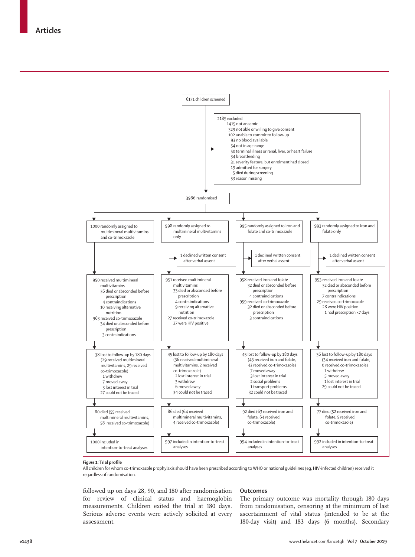

#### *Figure 1:* **Trial profile**

All children for whom co-trimoxazole prophylaxis should have been prescribed according to WHO or national guidelines (eg, HIV-infected children) received it regardless of randomisation.

followed up on days 28, 90, and 180 after randomisation for review of clinical status and haemoglobin measurements. Children exited the trial at 180 days. Serious adverse events were actively solicited at every assessment.

#### **Outcomes**

The primary outcome was mortality through 180 days from randomisation, censoring at the minimum of last ascertainment of vital status (intended to be at the 180-day visit) and 183 days (6 months). Secondary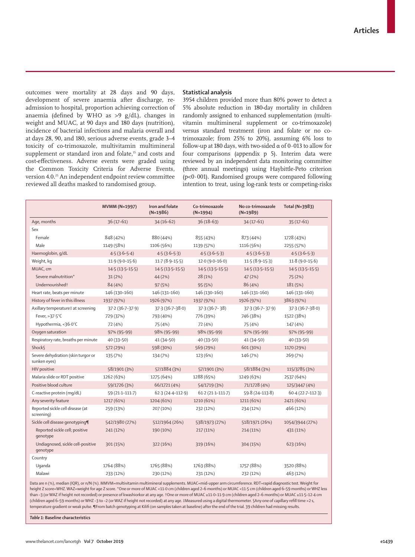outcomes were mortality at 28 days and 90 days, development of severe anaemia after discharge, readmission to hospital, proportion achieving correction of anaemia (defined by WHO as  $>9$  g/dL), changes in weight and MUAC, at 90 days and 180 days (nutrition), incidence of bacterial infections and malaria overall and at days 28, 90, and 180, serious adverse events, grade 3–4 toxicity of co-trimoxazole, multivitamin multimineral supplement or standard iron and folate,<sup>15</sup> and costs and cost-effectiveness. Adverse events were graded using the Common Toxicity Criteria for Adverse Events, version 4.0.25 An independent endpoint review committee reviewed all deaths masked to randomised group.

## **Statistical analysis**

3954 children provided more than 80% power to detect a 5% absolute reduction in 180-day mortality in children randomly assigned to enhanced supplementation (multivitamin multimineral supplement or co-trimoxazole) versus standard treatment (iron and folate or no cotrimoxazole; from 25% to 20%), assuming 6% loss to follow-up at 180 days, with two-sided  $\alpha$  of 0·013 to allow for four comparisons (appendix p 5). Interim data were reviewed by an independent data monitoring committee (three annual meetings) using Haybittle-Peto criterion ( $p<0.001$ ). Randomised groups were compared following intention to treat, using log-rank tests or competing-risks

|                                                    | <b>MVMM (N=1997)</b> | Iron and folate<br>$(N=1986)$ | Co-trimoxazole<br>$(N=1994)$ | No co-trimoxazole<br>$(N=1989)$ | Total (N=3983)     |
|----------------------------------------------------|----------------------|-------------------------------|------------------------------|---------------------------------|--------------------|
| Age, months                                        | $36(17-61)$          | $34(16-62)$                   | $36(18-63)$                  | $34(17-61)$                     | $35(17-61)$        |
| Sex                                                |                      |                               |                              |                                 |                    |
| Female                                             | 848 (42%)            | 880 (44%)                     | 855 (43%)                    | 873 (44%)                       | 1728 (43%)         |
| Male                                               | 1149 (58%)           | 1106 (56%)                    | 1139 (57%)                   | 1116 (56%)                      | 2255 (57%)         |
| Haemoglobin, g/dL                                  | $4.5(3.6-5.4)$       | $4.5(3.6-5.3)$                | $4.5(3.6-5.3)$               | $4.5(3.6-5.3)$                  | $4.5(3.6-5.3)$     |
| Weight, kg                                         | $11.9(9.0-15.6)$     | $11.7(8.9-15.5)$              | $12.0(9.0-16.0)$             | $11.5(8.9-15.3)$                | $11.8(9.0-15.6)$   |
| MUAC, cm                                           | $14.5(13.5 - 15.5)$  | $14.5(13.5-15.5)$             | $14.5(13.5-15.5)$            | $14.5(13.5-15.5)$               | $14.5(13.5-15.5)$  |
| Severe malnutrition*                               | 31(2%)               | 44 (2%)                       | 28(1%)                       | 47 (2%)                         | 75 (2%)            |
| Undernourished <sup>+</sup>                        | 84 (4%)              | 97 (5%)                       | 95(5%)                       | 86 (4%)                         | 181 (5%)           |
| Heart rate, beats per minute                       | 146 (130-160)        | 146 (131-160)                 | 146 (130-160)                | 146 (131-160)                   | 146 (131-160)      |
| History of fever in this illness                   | 1937 (97%)           | 1926 (97%)                    | 1937 (97%)                   | 1926 (97%)                      | 3863 (97%)         |
| Axillary temperature‡ at screening                 | $37.2(36.7-37.9)$    | 37.3 (36.7-38.0)              | $37.3(36.7 - 38)$            | $37.3(36.7 - 37.9)$             | 37.3 (36.7-38.0)   |
| Fever, $>37.5^{\circ}$ C                           | 729 (37%)            | 793 (40%)                     | 776 (39%)                    | 746 (38%)                       | 1522 (38%)         |
| Hypothermia, <36.0°C                               | 72 (4%)              | 75 (4%)                       | 72 (4%)                      | 75 (4%)                         | 147 (4%)           |
| Oxygen saturation                                  | 97% (95-99)          | 98% (95-99)                   | 98% (95-99)                  | 97% (95-99)                     | 97% (95-99)        |
| Respiratory rate, breaths per minute               | 40 (33-50)           | 41 (34-50)                    | 40 (33-50)                   | 41 (34-50)                      | 40 (33-50)         |
| Shock                                              | 572 (29%)            | 598 (30%)                     | 569 (29%)                    | 601 (30%)                       | 1170 (29%)         |
| Severe dehydration (skin turgor or<br>sunken eyes) | 135 (7%)             | 134 (7%)                      | 123 (6%)                     | 146 (7%)                        | 269 (7%)           |
| <b>HIV positive</b>                                | 58/1901 (3%)         | 57/1884 (3%)                  | 57/1901 (3%)                 | 58/1884 (3%)                    | 115/3785 (3%)      |
| Malaria slide or RDT positive                      | 1262 (63%)           | 1275 (64%)                    | 1288 (65%)                   | 1249 (63%)                      | 2537 (64%)         |
| Positive blood culture                             | 59/1726 (3%)         | 66/1721 (4%)                  | 54/1719 (3%)                 | 71/1728 (4%)                    | 125/3447 (4%)      |
| C-reactive protein (mq/dL)                         | 59 (21-1-111-7)      | $62.3(24.4-112.9)$            | $61.2(21.1 - 111.7)$         | $59.8(24-113.8)$                | $60.4(22.7-112.3)$ |
| Any severity feature                               | 1217 (61%)           | 1204 (61%)                    | 1210 (61%)                   | 1211 (61%)                      | 2421 (61%)         |
| Reported sickle cell disease (at<br>screening)     | 259 (13%)            | 207 (10%)                     | 232 (12%)                    | 234 (12%)                       | 466 (12%)          |
| Sickle cell disease genotyping¶                    | 542/1980 (27%)       | 512/1964 (26%)                | 538/1973 (27%)               | 518/1971 (26%)                  | 1054/3944 (27%)    |
| Reported sickle cell; positive<br>genotype         | 241 (12%)            | 190 (10%)                     | 217 (11%)                    | 214 (11%)                       | 431 (11%)          |
| Undiagnosed, sickle cell-positive<br>qenotype      | 301 (15%)            | 322 (16%)                     | 319 (16%)                    | 304 (15%)                       | 623 (16%)          |
| Country                                            |                      |                               |                              |                                 |                    |
| Uqanda                                             | 1764 (88%)           | 1765 (88%)                    | 1763 (88%)                   | 1757 (88%)                      | 3520 (88%)         |
| Malawi                                             | 233 (12%)            | 230 (12%)                     | 231 (12%)                    | 232 (12%)                       | 463 (12%)          |
|                                                    |                      |                               |                              |                                 |                    |

Data are n (%), median (IQR), or n/N (%). MMVM=multivitamin multimineral supplements. MUAC=mid-upper arm circumference. RDT=rapid diagnostic test. Weight for height Z score=WHZ. WAZ=weight for age Z score. \*One or more of MUAC <11·0 cm (children aged 2–6 months) or MUAC <11·5 cm (children aged 6–59 months) or WHZ less than –3 (or WAZ if height not recorded) or presence of kwashiorkor at any age. †One or more of MUAC ≥11·0–11·9 cm (children aged 2–6 months) or MUAC ≥11·5–12·4 cm (children aged 6–59 months) or WHZ –3 to –2 (or WAZ if height not recorded) at any age. ‡Measured using a digital thermometer. §Any one of capillary refill time >2 s, temperature gradient or weak pulse. ¶From batch genotyping at Kilifi (on samples taken at baseline) after the end of the trial. 39 children had missing results.

*Table 1:* **Baseline characteristics**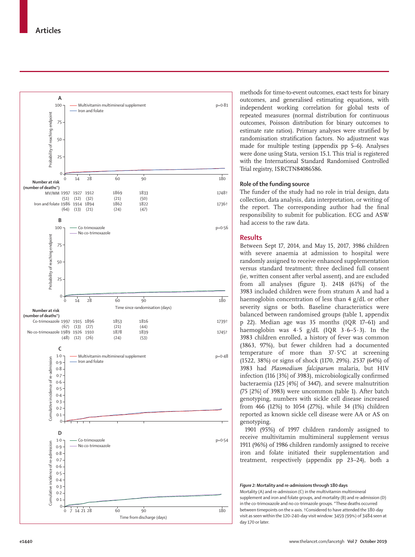

methods for time-to-event outcomes, exact tests for binary outcomes, and generalised estimating equations, with independent working correlation for global tests of repeated measures (normal distribution for continuous outcomes, Poisson distribution for binary outcomes to estimate rate ratios). Primary analyses were stratified by randomisation stratification factors. No adjustment was made for multiple testing (appendix pp 5–6). Analyses were done using Stata, version 15.1. This trial is registered with the International Standard Randomised Controlled Trial registry, ISRCTN84086586.

## **Role of the funding source**

The funder of the study had no role in trial design, data collection, data analysis, data interpretation, or writing of the report. The corresponding author had the final responsibility to submit for publication. ECG and ASW had access to the raw data.

# **Results**

Between Sept 17, 2014, and May 15, 2017, 3986 children with severe anaemia at admission to hospital were randomly assigned to receive enhanced supplementation versus standard treatment; three declined full consent (ie, written consent after verbal assent), and are excluded from all analyses (figure 1). 2418 (61%) of the 3983 included children were from stratum A and had a haemoglobin concentration of less than 4 g/dL or other severity signs or both. Baseline characteristics were balanced between randomised groups (table 1, appendix p 22). Median age was 35 months (IQR 17–61) and haemoglobin was  $4.5$  g/dL (IQR  $3.6-5.3$ ). In the 3983 children enrolled, a history of fever was common (3863, 97%), but fewer children had a documented temperature of more than 37·5°C at screening (1522, 38%) or signs of shock (1170, 29%). 2537 (64%) of 3983 had *Plasmodium falciparum* malaria, but HIV infection (116 [3%] of 3983), microbiologically confirmed bacteraemia (125 [4%] of 3447), and severe malnutrition (75 [2%] of 3983) were uncommon (table 1). After batch genotyping, numbers with sickle cell disease increased from 466 (12%) to 1054 (27%), while 34 (1%) children reported as known sickle cell disease were AA or AS on genotyping.

1901 (95%) of 1997 children randomly assigned to receive multivitamin multimineral supplement versus 1911 (96%) of 1986 children randomly assigned to receive iron and folate initiated their supplementation and treatment, respectively (appendix pp 23–24), both a

*Figure 2:* **Mortality and re-admissions through 180 days** 

Mortality (A) and re-admission (C) in the multivitamin multimineral supplement and iron and folate groups, and mortality (B) and re-admission (D) in the co-trimoxazole and no co-trimazole groups. \*These deaths occurred between timepoints on the x-axis. †Considered to have attended the 180-day visit as seen within the 120–240-day visit window: 3459 (99%) of 3484 seen at day 170 or later.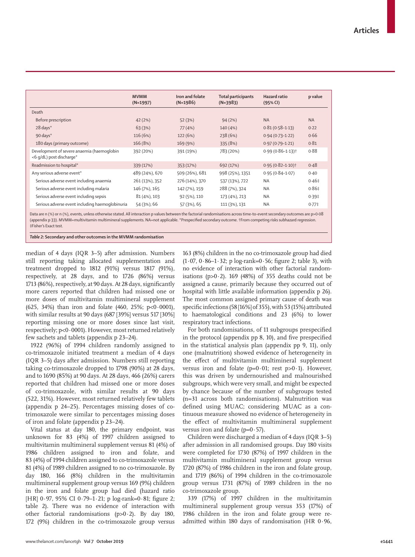|                                                                        | <b>MVMM</b><br>$(N=1997)$ | Iron and folate<br>$(N=1986)$ | <b>Total participants</b><br>$(N=3983)$ | Hazard ratio<br>(95% CI)         | p value           |
|------------------------------------------------------------------------|---------------------------|-------------------------------|-----------------------------------------|----------------------------------|-------------------|
| Death                                                                  |                           |                               |                                         |                                  |                   |
| Before prescription                                                    | 42 (2%)                   | 52(3%)                        | 94(2%)                                  | <b>NA</b>                        | <b>NA</b>         |
| 28 days*                                                               | 63 (3%)                   | 77(4%)                        | 140 (4%)                                | $0.81(0.58 - 1.13)$              | 0.22              |
| 90 days*                                                               | 116 (6%)                  | 122 (6%)                      | 238 (6%)                                | $0.94(0.73 - 1.22)$              | 0.66              |
| 180 days (primary outcome)                                             | 166 (8%)                  | 169 (9%)                      | 335 (8%)                                | $0.97(0.79 - 1.21)$              | 0.81              |
| Development of severe anaemia (haemoglobin<br><6 g/dL) post discharge* | 392 (20%)                 | 391 (19%)                     | 783 (20%)                               | $0.99(0.86 - 1.13)$ <sup>†</sup> | 0.88              |
| Readmission to hospital*                                               | 339 (17%)                 | 353 (17%)                     | 692 (17%)                               | $0.95(0.82 - 1.10)$ <sup>†</sup> | 0.48              |
| Any serious adverse event*                                             | 489 (24%), 670            | 509 (26%), 681                | 998 (25%), 1351                         | $0.95(0.84 - 1.07)$              | 0.40              |
| Serious adverse event including anaemia                                | 261 (13%), 352            | 276 (14%), 370                | 537 (13%), 722                          | <b>NA</b>                        | $0.46 \ddagger$   |
| Serious adverse event including malaria                                | 146 (7%), 165             | 142 (7%), 159                 | 288 (7%), 324                           | <b>NA</b>                        | 0.86 <sup>‡</sup> |
| Serious adverse event including sepsis                                 | 81 (4%), 103              | 92 (5%), 110                  | 173 (4%), 213                           | NA                               | 0.39 <sup>‡</sup> |
| Serious adverse event including haemoglobinuria                        | 54 (3%); 66               | 57 (3%), 65                   | 111 (3%), 131                           | <b>NA</b>                        | 0.771             |

Data are n (%) or n (%), events, unless otherwise stated. All interaction p values between the factorial randomisations across time-to-event secondary outcomes are p>0·08 (appendix p 33). MVMM=multivitamin multimineral supplements. NA=not applicable. \*Prespecified secondary outcome. †From competing risks subhazard regression. ‡Fisher's Exact test.

*Table 2:* **Secondary and other outcomes in the MVMM randomisation**

median of 4 days (IQR 3–5) after admission. Numbers still reporting taking allocated supplementation and treatment dropped to 1812 (91%) versus 1817 (91%), respectively, at 28 days, and to 1726 (86%) versus 1713 (86%), respectively, at 90 days. At 28 days, significantly more carers reported that children had missed one or more doses of multivitamin multimineral supplement (625, 34%) than iron and folate (460, 25%; p<0·0001), with similar results at 90 days (687 [39%] versus 517 [30%] reporting missing one or more doses since last visit, respectively; p<0·0001). However, most returned relatively few sachets and tablets (appendix p 23–24).

1922 (96%) of 1994 children randomly assigned to co-trimoxazole initiated treatment a median of 4 days (IQR 3–5) days after admission. Numbers still reporting taking co-trimoxazole dropped to 1798 (90%) at 28 days, and to 1690 (85%) at 90 days. At 28 days, 466 (26%) carers reported that children had missed one or more doses of co-trimoxazole, with similar results at 90 days (522, 31%). However, most returned relatively few tablets (appendix p 24–25). Percentages missing doses of cotrimoxazole were similar to percentages missing doses of iron and folate (appendix p 23–24).

Vital status at day 180, the primary endpoint, was unknown for 83 (4%) of 1997 children assigned to multivitamin multimineral supplement versus 81 (4%) of 1986 children assigned to iron and folate, and 83 (4%) of 1994 children assigned to co-trimoxazole versus 81 (4%) of 1989 children assigned to no co-trimoxazole. By day 180, 166 (8%) children in the multivitamin multimineral supplement group versus 169 (9%) children in the iron and folate group had died (hazard ratio [HR] 0·97, 95% CI 0·79–1·21; p log-rank=0·81; figure 2; table 2). There was no evidence of interaction with other factorial randomisations  $(p>0.2)$ . By day 180, 172 (9%) children in the co-trimoxazole group versus 163 (8%) children in the no co-trimoxazole group had died (1·07, 0·86–1·32; p log-rank=0·56; figure 2; table 3), with no evidence of interaction with other factorial randomisations ( $p>0.2$ ). 169 (48%) of 355 deaths could not be assigned a cause, primarily because they occurred out of hospital with little available information (appendix p 26). The most common assigned primary cause of death was specific infections (58 [16%] of 355), with 53 (15%) attributed to haematological conditions and 23 (6%) to lower respiratory tract infections.

For both randomisations, of 11 subgroups prespecified in the protocol (appendix pp 8, 10), and five prespecified in the statistical analysis plan (appendix pp 9, 11), only one (malnutrition) showed evidence of heterogeneity in the effect of multivitamin multimineral supplement versus iron and folate ( $p=0.01$ ; rest  $p>0.1$ ). However, this was driven by undernourished and malnourished subgroups, which were very small, and might be expected by chance because of the number of subgroups tested (n=31 across both randomisations). Malnutrition was defined using MUAC; considering MUAC as a continuous measure showed no evidence of heterogeneity in the effect of multivitamin multimineral supplement versus iron and folate  $(p=0.57)$ .

Children were discharged a median of 4 days (IQR 3–5) after admission in all randomised groups. Day 180 visits were completed for 1730 (87%) of 1997 children in the multivitamin multimineral supplement group versus 1720 (87%) of 1986 children in the iron and folate group, and 1719 (86%) of 1994 children in the co-trimoxazole group versus 1731 (87%) of 1989 children in the no co-trimoxazole group.

339 (17%) of 1997 children in the multivitamin multimineral supplement group versus 353 (17%) of 1986 children in the iron and folate group were readmitted within 180 days of randomisation (HR 0·96,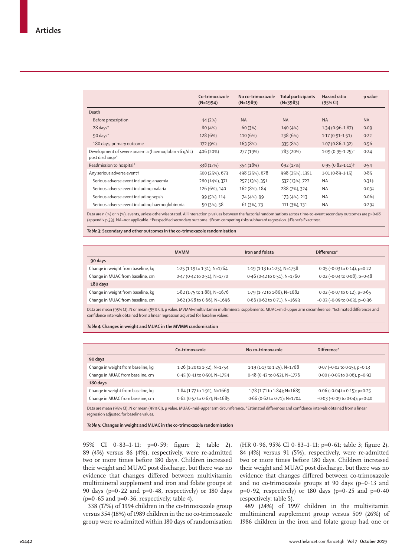|                                                                        | Co-trimoxazole<br>$(N=1994)$ | No co-trimoxazole<br>$(N=1989)$ | Total participants<br>$(N=3983)$ | Hazard ratio<br>(95% CI)         | p value                                 |
|------------------------------------------------------------------------|------------------------------|---------------------------------|----------------------------------|----------------------------------|-----------------------------------------|
| Death                                                                  |                              |                                 |                                  |                                  |                                         |
| Before prescription                                                    | 44 (2%)                      | <b>NA</b>                       | <b>NA</b>                        | <b>NA</b>                        | <b>NA</b>                               |
| 28 days*                                                               | 80(4%)                       | 60(3%)                          | 140 (4%)                         | $1.34(0.96 - 1.87)$              | 0.09                                    |
| 90 days $*$                                                            | 128 (6%)                     | 110 (6%)                        | 238 (6%)                         | $1.17(0.91 - 1.51)$              | 0.22                                    |
| 180 days, primary outcome                                              | 172 (9%)                     | 163 (8%)                        | 335 (8%)                         | $1.07(0.86 - 1.32)$              | 0.56                                    |
| Development of severe anaemia (haemoglobin <6 g/dL)<br>post discharge* | 406 (20%)                    | 277 (19%)                       | 783 (20%)                        | $1.09(0.95 - 1.25)$ <sup>+</sup> | 0.24                                    |
| Readmission to hospital*                                               | 338 (17%)                    | 354 (18%)                       | 692 (17%)                        | $0.95(0.82 - 1.11)$ <sup>†</sup> | 0.54                                    |
| Any serious adverse eventt                                             | 500 (25%), 673               | 498 (25%), 678                  | 998 (25%), 1351                  | $1.01(0.89 - 1.15)$              | 0.85                                    |
| Serious adverse event including anaemia                                | 280 (14%), 371               | 257 (13%), 351                  | 537 (13%), 722                   | <b>NA</b>                        | $0.31$ <sup><math>\ddagger</math></sup> |
| Serious adverse event including malaria                                | 126 (6%), 140                | 162 (8%), 184                   | 288 (7%), 324                    | <b>NA</b>                        | 0.03 <sup>‡</sup>                       |
| Serious adverse event including sepsis                                 | 99 (5%), 114                 | 74 (4%), 99                     | 173 (4%), 213                    | <b>NA</b>                        | $0.06 \pm$                              |
| Serious adverse event including haemoglobinuria                        | 50 (3%), 58                  | 61 (3%), 73                     | 111 (3%), 131                    | <b>NA</b>                        | 0.29 <sup>‡</sup>                       |

Data are n (%) or n (%), events, unless otherwise stated. All interaction p values between the factorial randomisations across time-to-event secondary outcomes are p>0·08 (appendix p 33). NA=not applicable. \*Prespecified secondary outcome. †From competing risks subhazard regression. ‡Fisher's Exact test.

*Table 3:* **Secondary and other outcomes in the co-trimoxazole randomisation**

|                                    | <b>MVMM</b>                 | Iron and folate             | Difference*                              |
|------------------------------------|-----------------------------|-----------------------------|------------------------------------------|
| 90 days                            |                             |                             |                                          |
| Change in weight from baseline, kg | 1.25 (1.19 to 1.31), N=1764 | 1.19 (1.13 to 1.25), N=1758 | $0.05$ (-0.03 to 0.14), p=0.22           |
| Change in MUAC from baseline, cm   | 0.47 (0.42 to 0.51), N=1770 | 0.46 (0.42 to 0.51), N=1760 | 0.02 ( $-0.04$ to 0.08), p=0.48          |
| 180 days                           |                             |                             |                                          |
| Change in weight from baseline, kg | 1.82 (1.75 to 1.88), N=1676 | 1.79 (1.72 to 1.86), N=1682 | $0.02$ (-0.07 to 0.12), p=0.65           |
| Change in MUAC from baseline, cm   | 0.62 (0.58 to 0.66), N=1696 | 0.66 (0.62 to 0.71), N=1693 | $-0.03$ ( $-0.09$ to $0.03$ ), p= $0.36$ |

Data are mean (95% CI), N or mean (95% CI), p value. MVMM=multivitamin multimineral supplements. MUAC=mid-upper arm circumference. \*Estimated differences and confidence intervals obtained from a linear regression adjusted for baseline values.

*Table 4:* **Changes in weight and MUAC in the MVMM randomisation**

|                                                                                                                                                                                                           | Co-trimoxazole              | No co-trimoxazole           | Difference*                           |  |
|-----------------------------------------------------------------------------------------------------------------------------------------------------------------------------------------------------------|-----------------------------|-----------------------------|---------------------------------------|--|
| 90 days                                                                                                                                                                                                   |                             |                             |                                       |  |
| Change in weight from baseline, kg                                                                                                                                                                        | 1.26 (1.20 to 1.32), N=1754 | 1.19 (1.13 to 1.25), N=1768 | $0.07$ (-0.02 to 0.15), p=0.13        |  |
| Change in MUAC from baseline, cm                                                                                                                                                                          | 0.45 (0.41 to 0.50), N=1754 | 0.48 (0.43 to 0.52), N=1776 | $0.00$ (-0.05 to 0.06), p=0.92        |  |
| 180 days                                                                                                                                                                                                  |                             |                             |                                       |  |
| Change in weight from baseline, kg                                                                                                                                                                        | 1.84 (1.77 to 1.91), N=1669 | 1.78 (1.71 to 1.84); N=1689 | $0.06$ (-0.04 to 0.15); p=0.25        |  |
| Change in MUAC from baseline, cm                                                                                                                                                                          | 0.62 (0.57 to 0.67); N=1685 | 0.66 (0.62 to 0.71); N=1704 | $-0.03$ ( $-0.09$ to $0.04$ ); p=0.40 |  |
| Data are mean (95% CI), N or mean (95% CI), p value. MUAC=mid-upper arm circumference. *Estimated differences and confidence intervals obtained from a linear<br>regression adjusted for baseline values. |                             |                             |                                       |  |

*Table 5:* **Changes in weight and MUAC in the co-trimoxazole randomisation**

95% CI 0·83–1·11; p=0·59; figure 2; table 2). 89 (4%) versus 86 (4%), respectively, were re-admitted two or more times before 180 days. Children increased their weight and MUAC post discharge, but there was no evidence that changes differed between multivitamin multimineral supplement and iron and folate groups at 90 days ( $p=0.22$  and  $p=0.48$ , respectively) or 180 days  $(p=0.65$  and  $p=0.36$ , respectively; table 4).

338 (17%) of 1994 children in the co-trimoxazole group versus 354 (18%) of 1989 children in the no co-trimoxazole group were re-admitted within 180 days of randomisation

(HR 0·96, 95% CI 0·83–1·11; p=0·61; table 3; figure 2). 84 (4%) versus 91 (5%), respectively, were re-admitted two or more times before 180 days. Children increased their weight and MUAC post discharge, but there was no evidence that changes differed between co-trimoxazole and no co-trimoxazole groups at 90 days ( $p=0.13$  and  $p=0.92$ , respectively) or 180 days ( $p=0.25$  and  $p=0.40$ respectively; table 5).

489 (24%) of 1997 children in the multivitamin multimineral supplement group versus 509 (26%) of 1986 children in the iron and folate group had one or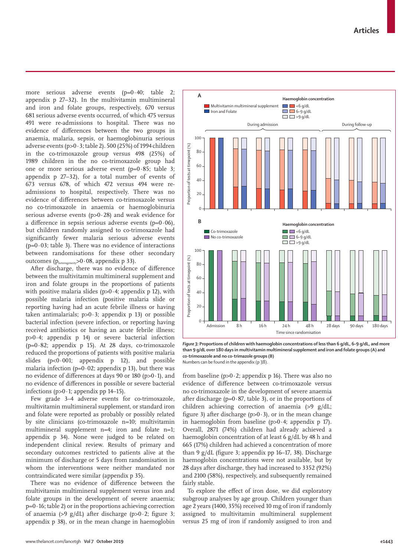more serious adverse events (p=0.40; table 2; appendix p 27–32). In the multivitamin multimineral and iron and folate groups, respectively, 670 versus 681 serious adverse events occurred, of which 475 versus 491 were re-admissions to hospital. There was no evidence of differences between the two groups in anaemia, malaria, sepsis, or haemoglobinuria serious adverse events (p>0·3; table 2). 500 (25%) of 1994 children in the co-trimoxazole group versus 498 (25%) of 1989 children in the no co-trimoxazole group had one or more serious adverse event (p=0·85; table 3; appendix p 27–32), for a total number of events of 673 versus 678, of which 472 versus 494 were readmissions to hospital, respectively. There was no evidence of differences between co-trimoxazole versus no co-trimoxazole in anaemia or haemoglobinuria serious adverse events  $(p>0.28)$  and weak evidence for a difference in sepsis serious adverse events  $(p=0.06)$ , but children randomly assigned to co-trimoxazole had significantly fewer malaria serious adverse events ( $p=0.03$ ; table 3). There was no evidence of interactions between randomisations for these other secondary outcomes  $(p_{\text{heteroenerity}} > 0.08,$  appendix p 33).

After discharge, there was no evidence of difference between the multivitamin multimineral supplement and iron and folate groups in the proportions of patients with positive malaria slides ( $p>0.4$ ; appendix p 12), with possible malaria infection (positive malaria slide or reporting having had an acute febrile illness or having taken antimalarials;  $p > 0.3$ ; appendix p 13) or possible bacterial infection (severe infection, or reporting having received antibiotics or having an acute febrile illness; p>0·4; appendix p 14) or severe bacterial infection  $(p=0.82;$  appendix p 15). At 28 days, co-trimoxazole reduced the proportions of patients with positive malaria slides  $(p<0.001;$  appendix  $p$  12), and possible malaria infection (p= $0.02$ ; appendix p 13), but there was no evidence of differences at days 90 or 180 (p>0·1), and no evidence of differences in possible or severe bacterial infections (p>0·1; appendix pp 14–15).

Few grade 3–4 adverse events for co-trimoxazole, multivitamin multimineral supplement, or standard iron and folate were reported as probably or possibly related by site clinicians (co-trimoxazole n=10; multivitamin multimineral supplement n=4; iron and folate n=1; appendix p 34). None were judged to be related on independent clinical review. Results of primary and secondary outcomes restricted to patients alive at the minimum of discharge or 5 days from randomisation in whom the interventions were neither mandated nor contraindicated were similar (appendix p 35).

There was no evidence of difference between the multivitamin multimineral supplement versus iron and folate groups in the development of severe anaemia;  $p=0.16$ ; table 2) or in the proportions achieving correction of anaemia (>9 g/dL) after discharge (p> $0.2$ ; figure 3; appendix p 38), or in the mean change in haemoglobin



*Figure 3:* **Proportions of children with haemoglobin concentrations of less than 6 g/dL, 6–9 g/dL, and more than 9 g/dL over 180 days in multivitamin multimineral supplement and iron and folate groups (A) and co-trimoxazole and no co-trimazole groups (B)** Numbers can be found in the appendix (p 38).

from baseline ( $p>0.2$ ; appendix p 16). There was also no evidence of difference between co-trimoxazole versus no co-trimoxazole in the development of severe anaemia after discharge ( $p=0.87$ , table 3), or in the proportions of children achieving correction of anaemia (>9 g/dL; figure 3) after discharge ( $p > 0.3$ ), or in the mean change in haemoglobin from baseline  $(p>0.4$ ; appendix p 17). Overall, 2871 (74%) children had already achieved a haemoglobin concentration of at least 6 g/dL by 48 h and 665 (17%) children had achieved a concentration of more than 9 g/dL (figure 3; appendix pp 16–17, 38). Discharge haemoglobin concentrations were not available, but by 28 days after discharge, they had increased to 3352 (92%) and 2100 (58%), respectively, and subsequently remained fairly stable.

To explore the effect of iron dose, we did exploratory subgroup analyses by age group. Children younger than age 2 years (1400, 35%) received 10 mg of iron if randomly assigned to multivitamin multimineral supplement versus 25 mg of iron if randomly assigned to iron and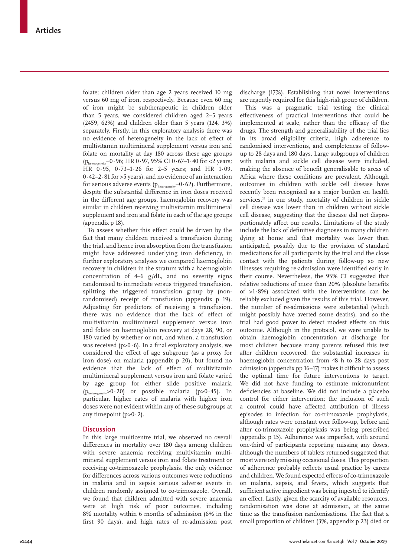folate; children older than age 2 years received 10 mg versus 60 mg of iron, respectively. Because even 60 mg of iron might be subtherapeutic in children older than 5 years, we considered children aged 2–5 years (2459, 62%) and children older than 5 years (124, 3%) separately. Firstly, in this exploratory analysis there was no evidence of heterogeneity in the lack of effect of multivitamin multimineral supplement versus iron and folate on mortality at day 180 across these age groups ( $p_{heterogeneity} = 0.96$ ; HR 0.97, 95% CI 0.67-1.40 for <2 years; HR 0·95, 0·73–1·26 for 2–5 years; and HR 1·09, 0·42–2·81 for >5 years), and no evidence of an interaction for serious adverse events ( $p_{heterogeneity}=0.62$ ). Furthermore, despite the substantial difference in iron doses received in the different age groups, haemoglobin recovery was similar in children receiving multivitamin multimineral supplement and iron and folate in each of the age groups (appendix p 18).

To assess whether this effect could be driven by the fact that many children received a transfusion during the trial, and hence iron absorption from the transfusion might have addressed underlying iron deficiency, in further exploratory analyses we compared haemoglobin recovery in children in the stratum with a haemoglobin concentration of 4–6 g/dL, and no severity signs randomised to immediate versus triggered transfusion, splitting the triggered transfusion group by (nonrandomised) receipt of transfusion (appendix p 19). Adjusting for predictors of receiving a transfusion, there was no evidence that the lack of effect of multivitamin multimineral supplement versus iron and folate on haemoglobin recovery at days 28, 90, or 180 varied by whether or not, and when, a transfusion was received ( $p>0.6$ ). In a final exploratory analysis, we considered the effect of age subgroup (as a proxy for iron dose) on malaria (appendix p 20), but found no evidence that the lack of effect of multivitamin multimineral supplement versus iron and folate varied by age group for either slide positive malaria  $(p_{heterogeneity}>0.20)$  or possible malaria (p>0.45). In particular, higher rates of malaria with higher iron doses were not evident within any of these subgroups at any timepoint  $(p>0.2)$ .

## **Discussion**

In this large multicentre trial, we observed no overall differences in mortality over 180 days among children with severe anaemia receiving multivitamin multimineral supplement versus iron and folate treatment or receiving co-trimoxazole prophylaxis. the only evidence for differences across various outcomes were reductions in malaria and in sepsis serious adverse events in children randomly assigned to co-trimoxazole. Overall, we found that children admitted with severe anaemia were at high risk of poor outcomes, including 8% mortality within 6 months of admission (6% in the first 90 days), and high rates of re-admission post discharge (17%). Establishing that novel interventions are urgently required for this high-risk group of children.

This was a pragmatic trial testing the clinical effectiveness of practical interventions that could be implemented at scale, rather than the efficacy of the drugs. The strength and generalisability of the trial lies in its broad eligibility criteria, high adherence to randomised interventions, and completeness of followup to 28 days and 180 days. Large subgroups of children with malaria and sickle cell disease were included, making the absence of benefit generalisable to areas of Africa where these conditions are prevalent. Although outcomes in children with sickle cell disease have recently been recognised as a major burden on health services,<sup>26</sup> in our study, mortality of children in sickle cell disease was lower than in children without sickle cell disease, suggesting that the disease did not disproportionately affect our results. Limitations of the study include the lack of definitive diagnoses in many children dying at home and that mortality was lower than anticipated, possibly due to the provision of standard medications for all participants by the trial and the close contact with the patients during follow-up so new illnesses requiring re-admission were identified early in their course. Nevertheless, the 95% CI suggested that relative reductions of more than 20% (absolute benefits of >1·8%) associated with the interventions can be reliably excluded given the results of this trial. However, the number of re-admissions were substantial (which might possibly have averted some deaths), and so the trial had good power to detect modest effects on this outcome. Although in the protocol, we were unable to obtain haemoglobin concentration at discharge for most children because many parents refused this test after children recovered. the substantial increases in haemoglobin concentration from 48 h to 28 days post admission (appendix pp 16–17) makes it difficult to assess the optimal time for future interventions to target. We did not have funding to estimate micronutrient deficiencies at baseline. We did not include a placebo control for either intervention; the inclusion of such a control could have affected attribution of illness episodes to infection for co-trimoxazole prophylaxis, although rates were constant over follow-up, before and after co-trimoxazole prophylaxis was being prescribed (appendix p 15). Adherence was imperfect, with around one-third of participants reporting missing any doses, although the numbers of tablets returned suggested that most were only missing occasional doses. This proportion of adherence probably reflects usual practice by carers and children. We found expected effects of co-trimoxazole on malaria, sepsis, and fevers, which suggests that sufficient active ingredient was being ingested to identify an effect. Lastly, given the scarcity of available resources, randomisation was done at admission, at the same time as the transfusion randomisations. The fact that a small proportion of children (3%, appendix p 23) died or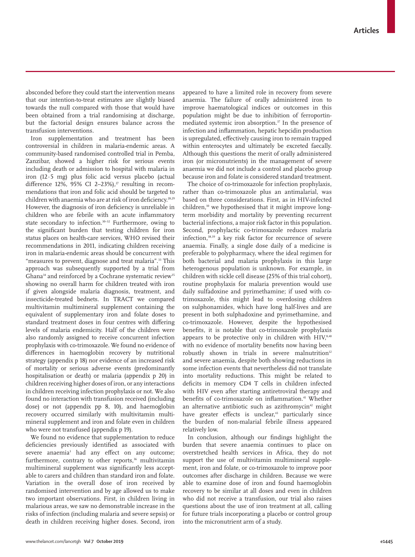absconded before they could start the intervention means that our intention-to-treat estimates are slightly biased towards the null compared with those that would have been obtained from a trial randomising at discharge, but the factorial design ensures balance across the transfusion interventions.

Iron supplementation and treatment has been controversial in children in malaria-endemic areas. A community-based randomised controlled trial in Pemba, Zanzibar, showed a higher risk for serious events including death or admission to hospital with malaria in iron (12·5 mg) plus folic acid versus placebo (actual difference 12%, 95% CI 2-23%),<sup>27</sup> resulting in recommendations that iron and folic acid should be targeted to children with anaemia who are at risk of iron deficiency. 28,29 However, the diagnosis of iron deficiency is unreliable in children who are febrile with an acute inflammatory state secondary to infection.<sup>30–32</sup> Furthermore, owing to the significant burden that testing children for iron status places on health-care services, WHO revised their recommendations in 2011, indicating children receiving iron in malaria-endemic areas should be concurrent with "measures to prevent, diagnose and treat malaria".33 This approach was subsequently supported by a trial from Ghana<sup>34</sup> and reinforced by a Cochrane systematic review<sup>35</sup> showing no overall harm for children treated with iron if given alongside malaria diagnosis, treatment, and insecticide-treated bednets. In TRACT we compared multivitamin multimineral supplement containing the equivalent of supplementary iron and folate doses to standard treatment doses in four centres with differing levels of malaria endemicity. Half of the children were also randomly assigned to receive concurrent infection prophylaxis with co-trimoxazole. We found no evidence of differences in haemoglobin recovery by nutritional strategy (appendix p 18) nor evidence of an increased risk of mortality or serious adverse events (predominantly hospitalisation or death) or malaria (appendix p 20) in children receiving higher doses of iron, or any interactions in children receiving infection prophylaxis or not. We also found no interaction with transfusion received (including dose) or not (appendix pp 8, 10), and haemoglobin recovery occurred similarly with multivitamin multimineral supplement and iron and folate even in children who were not transfused (appendix p 19).

We found no evidence that supplementation to reduce deficiencies previously identified as associated with severe anaemia<sup>3</sup> had any effect on any outcome; furthermore, contrary to other reports,<sup>36</sup> multivitamin multimineral supplement was significantly less acceptable to carers and children than standard iron and folate. Variation in the overall dose of iron received by randomised intervention and by age allowed us to make two important observations. First, in children living in malarious areas, we saw no demonstrable increase in the risks of infection (including malaria and severe sepsis) or death in children receiving higher doses. Second, iron

appeared to have a limited role in recovery from severe anaemia. The failure of orally administered iron to improve haematological indices or outcomes in this population might be due to inhibition of ferroportinmediated systemic iron absorption.<sup>37</sup> In the presence of infection and inflammation, hepatic hepcidin production is upregulated, effectively causing iron to remain trapped within enterocytes and ultimately be excreted faecally. Although this questions the merit of orally administered iron (or micronutrients) in the management of severe anaemia we did not include a control and placebo group because iron and folate is considered standard treatment.

The choice of co-trimoxazole for infection prophylaxis, rather than co-trimoxazole plus an antimalarial, was based on three considerations. First, as in HIV-infected children,<sup>10</sup> we hypothesised that it might improve longterm morbidity and mortality by preventing recurrent bacterial infections, a major risk factor in this population. Second, prophylactic co-trimoxazole reduces malaria infection,<sup>38,39</sup> a key risk factor for recurrence of severe anaemia. Finally, a single dose daily of a medicine is preferable to polypharmacy, where the ideal regimen for both bacterial and malaria prophylaxis in this large heterogenous population is unknown. For example, in children with sickle cell disease (25% of this trial cohort), routine prophylaxis for malaria prevention would use daily sulfadoxine and pyrimethamine; if used with cotrimoxazole, this might lead to overdosing children on sulphonamides, which have long half-lives and are present in both sulphadoxine and pyrimethamine, and co-trimoxazole. However, despite the hypothesised benefits, it is notable that co-trimoxazole prophylaxis appears to be protective only in children with HIV,<sup>8,40</sup> with no evidence of mortality benefits now having been robustly shown in trials in severe malnutrition $12$ and severe anaemia, despite both showing reductions in some infection events that nevertheless did not translate into mortality reductions. This might be related to deficits in memory CD4 T cells in children infected with HIV even after starting antiretroviral therapy and benefits of co-trimoxazole on inflammation.<sup>41</sup> Whether an alternative antibiotic such as azithromycin<sup>42</sup> might have greater effects is unclear,<sup>43</sup> particularly since the burden of non-malarial febrile illness appeared relatively low.

In conclusion, although our findings highlight the burden that severe anaemia continues to place on overstretched health services in Africa, they do not support the use of multivitamin multimineral supplement, iron and folate, or co-trimoxazole to improve poor outcomes after discharge in children. Because we were able to examine dose of iron and found haemoglobin recovery to be similar at all doses and even in children who did not receive a transfusion, our trial also raises questions about the use of iron treatment at all, calling for future trials incorporating a placebo or control group into the micronutrient arm of a study.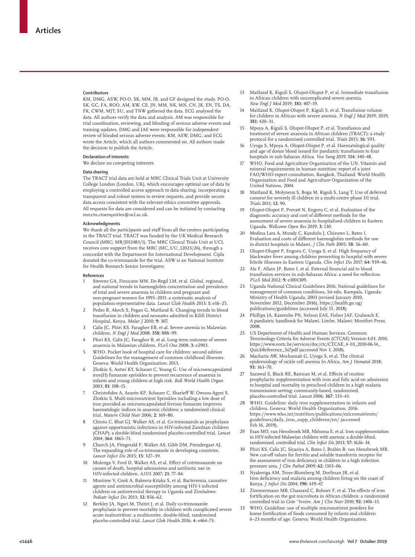#### **Contributors**

KM, DMG, ASW, PO-O, SK, MM, IB, and GF designed the study. PO-O, SK, GC, FA, ROO, AM, KW, CE, JN, MM, NK, MN, CN, JK, EN, TS, DA, FK, CWM, MJT, SU, and TNW gathered the data. ECG analysed the data. All authors verify the data and analysis. AM was responsible for trial coordination, reviewing, and blinding of serious adverse events and training updates. DMG and JAE were responsible for independent review of blinded serious adverse events. KM, ASW, DMG, and ECG wrote the Article, which all authors commented on. All authors made the decision to publish the Article.

#### **Declaration of interests**

We declare no competing interests.

#### **Data sharing**

The TRACT trial data are held at MRC Clinical Trials Unit at University College London (London, UK), which encourages optimal use of data by employing a controlled access approach to data sharing, incorporating a transparent and robust system to review requests, and provide secure data access consistent with the relevant ethics committee approvals. All requests for data are considered and can be initiated by contacting mrcctu.ctuenquiries@ucl.ac.uk.

#### **Acknowledgments**

We thank all the participants and staff from all the centres participating in the TRACT trial. TRACT was funded by the UK Medical Research Council (MRC; MR/J012483/1). The MRC Clinical Trials Unit at UCL receives core support from the MRC (MC\_UU\_12023/26), through a concordat with the Department for International Development. Cipla donated the co-trimoxazole for the trial. ASW is an National Institute for Health Research Senior Investigator.

#### **References**

- Stevens GA, Finucane MM, De-Regil LM, et al. Global, regional, and national trends in haemoglobin concentration and prevalence of total and severe anaemia in children and pregnant and non-pregnant women for 1995–2011: a systematic analysis of population-representative data. *Lancet Glob Health* 2013; **1:** e16–25.
- 2 Pedro R, Akech S, Fegan G, Maitland K. Changing trends in blood transfusion in children and neonates admitted in Kilifi District Hospital, Kenya. *Malar J* 2010; **9:** 307.
- 3 Calis JC, Phiri KS, Faragher EB, et al. Severe anemia in Malawian children. *N Engl J Med* 2008; **358:** 888–99.
- Phiri KS, Calis JC, Faragher B, et al. Long term outcome of severe anaemia in Malawian children. *PLoS One* 2008; **3:** e2903.
- 5 WHO. Pocket book of hospital care for children: second edition Guidelines for the management of common childhood illnesses. Geneva: World Health Organization; 2013.
- 6 Zlotkin S, Antwi KY, Schauer C, Yeung G. Use of microencapsulated iron(II) fumarate sprinkles to prevent recurrence of anaemia in infants and young children at high risk. *Bull World Health Organ* 2003; **81:** 108–15.
- 7 Christofides A, Asante KP, Schauer C, Sharieff W, Owusu-Agyei S, Zlotkin S. Multi-micronutrient Sprinkles including a low dose of iron provided as microencapsulated ferrous fumarate improves haematologic indices in anaemic children: a randomized clinical trial. *Matern Child Nutr* 2006; **2:** 169–80.
- 8 Chintu C, Bhat GJ, Walker AS, et al. Co-trimoxazole as prophylaxis against opportunistic infections in HIV-infected Zambian children (CHAP): a double-blind randomised placebo-controlled trial. *Lancet* 2004; **364:** 1865–71.
- 9 Church JA, Fitzgerald F, Walker AS, Gibb DM, Prendergast AJ. The expanding role of co-trimoxazole in developing countries. *Lancet Infect Dis* 2015; **15:** 327–39.
- 10 Mulenga V, Ford D, Walker AS, et al. Effect of cotrimoxazole on causes of death, hospital admissions and antibiotic use in HIV-infected children. *AIDS* 2007; **21:** 77–84.
- 11 Musiime V, Cook A, Bakeera-Kitaka S, et al. Bacteremia, causative agents and antimicrobial susceptibility among HIV-1 infected children on antiretroviral therapy in Uganda and Zimbabwe. *Pediatr Infect Dis* 2013; **32:** 856–62.
- 12 Berkley JA, Ngari M, Thitiri J, et al. Daily co-trimoxazole prophylaxis to prevent mortality in children with complicated severe acute malnutrition: a multicentre, double-blind, randomised placebo-controlled trial. *Lancet Glob Health* 2016; **4:** e464–73.
- 13 Maitland K, Kiguli S, Olupot-Olupot P, et al. Immediate transfusion in African children with uncomplicated severe anemia. *New Engl J Med* 2019; **381:** 407–19.
- 14 Maitland K, Olupot-Olupot P, Kiguli S, et al. Transfusion volume for children in African with severe anemia. *N Engl J Med* 2019; 2019; **381:** 420–31.
- 15 Mpoya A, Kiguli S, Olupot-Olupot P, et al. Transfusion and treatment of severe anaemia in African children (TRACT): a study protocol for a randomised controlled trial. *Trials* 2015; **16:** 593.
- 16 Uyoga S, Mpoya A, Olupot-Olupot P, et al. Haematological quality and age of donor blood issued for paediatric transfusion to four hospitals in sub-Saharan Africa. *Vox Sang* 2019; **114:** 340–48.
- WHO, Food and Agriculture Organization of the UN. Vitamin and mineral requirements in human nutrition: report of a joint FAO/WHO expert consultation. Bangkok, Thailand: World Health Organization and Food and Agriculture Organization of the United Nations, 2004.
- 18 Maitland K, Molyneux S, Boga M, Kiguli S, Lang T. Use of deferred consent for severely ill children in a multi-centre phase III trial. *Trials* 2011; **12:** 90.
- 19 Olupot-Olupot P, Prevatt N, Engoru C, et al. Evaluation of the diagnostic accuracy and cost of different methods for the assessment of severe anaemia in hospitalised children in Eastern Uganda. *Wellcome Open Res* 2019; **3:** 130.
- 20 Medina Lara A, Mundy C, Kandulu J, Chisuwo L, Bates I. Evaluation and costs of different haemoglobin methods for use in district hospitals in Malawi. *J Clin Path* 2005; **58:** 56–60.
- 21 Olupot-Olupot P, Engoru C, Uyoga S, et al. High frequency of blackwater fever among children presenting to hospital with severe febrile illnesses in Eastern Uganda. *Clin Infect Dis* 2017; **64:** 939–46.
- 22 Ala F, Allain JP, Bates I, et al. External financial aid to blood transfusion services in sub-Saharan Africa: a need for reflection. *PLoS Med* 2012; **9:** e1001309.
- 23 Uganda National Clinical Guidelines 2016. National guidelines for management of common conditions, 1st edn. Kampala, Uganda: Ministry of Health Uganda, 2003 (revised January 2010, November 2012, December 2016). https://health.go.ug/ publications/guidelines (accessed July 15, 2018).
- 24 Phillips JA, Kazembe PN, Nelson EAS, Fisher JAF, Grabosch E. A paediatric handbook for Malawi. Limbe, Malawi: Montfort Press, 2008.
- 25 US Department of Health and Human Services. Common Terminology Criteria for Adverse Events (CTCAE) Version 4.03. 2010. https://www.eortc.be/services/doc/ctc/CTCAE\_4·03\_2010-06-14\_ QuickReference\_5x7.pdf (accessed Nov 3, 2018).
- 26 Macharia AW, Mochamah G, Uyoga S, et al. The clinical epidemiology of sickle cell anemia In Africa. *Am J Hematol* 2018; **93:** 363–70.
- Sazawal S, Black RE, Ramsan M, et al. Effects of routine prophylactic supplementation with iron and folic acid on admission to hospital and mortality in preschool children in a high malaria transmission setting: community-based, randomised, placebo-controlled trial. *Lancet* 2006; **367:** 133–43.
- WHO. Guideline: daily iron supplementation in infants and children. Geneva: World Health Organization; 2016. https://www.who.int/nutrition/publications/micronutrients/ guidelines/daily\_iron\_supp\_childrens/en/ (accessed Feb 16, 2019).
- 29 Esan MO, van Hensbroek MB, Nkhoma E, et al. Iron supplementation in HIV-infected Malawian children with anemia: a double-blind, randomized, controlled trial. *Clin Infect Dis* 2013; **57:** 1626–34.
- 30 Phiri KS, Calis JC, Siyasiya A, Bates I, Brabin B, van Hensbroek MB. New cut-off values for ferritin and soluble transferrin receptor for the assessment of iron deficiency in children in a high infection pressure area. *J Clin Pathol* 2009; **62:** 1103–06.
- 31 Nyakeriga AM, Troye-Blomberg M, Dorfman JR, et al. Iron deficiency and malaria among children living on the coast of Kenya. *J Infect Dis* 2004; **190:** 439–47.
- 32 Zimmermann MB, Chassard C, Rohner F, et al. The effects of iron fortification on the gut microbiota in African children: a randomized controlled trial in Cote ''Ivoire. *Am J Clin Nutr* 2010; **92:** 1406–15.
- 33 WHO. Guideline: use of multiple micronutrient powders for home fortification of foods consumed by infants and children 6–23 months of age. Geneva: World Health Organization.